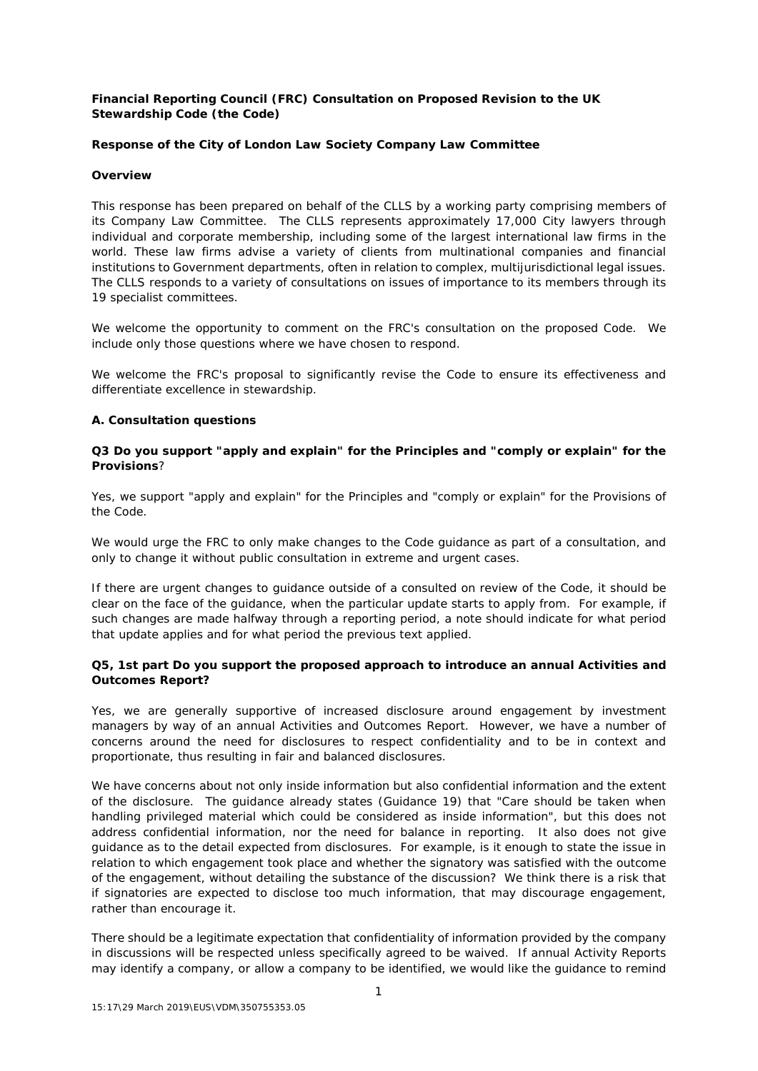# **Financial Reporting Council (FRC) Consultation on Proposed Revision to the UK Stewardship Code (the Code)**

# **Response of the City of London Law Society Company Law Committee**

### **Overview**

This response has been prepared on behalf of the CLLS by a working party comprising members of its Company Law Committee. The CLLS represents approximately 17,000 City lawyers through individual and corporate membership, including some of the largest international law firms in the world. These law firms advise a variety of clients from multinational companies and financial institutions to Government departments, often in relation to complex, multijurisdictional legal issues. The CLLS responds to a variety of consultations on issues of importance to its members through its 19 specialist committees.

We welcome the opportunity to comment on the FRC's consultation on the proposed Code. We include only those questions where we have chosen to respond.

We welcome the FRC's proposal to significantly revise the Code to ensure its effectiveness and differentiate excellence in stewardship.

### **A. Consultation questions**

## **Q3 Do you support "apply and explain" for the Principles and "comply or explain" for the Provisions**?

Yes, we support "apply and explain" for the Principles and "comply or explain" for the Provisions of the Code.

We would urge the FRC to only make changes to the Code guidance as part of a consultation, and only to change it without public consultation in extreme and urgent cases.

If there are urgent changes to guidance outside of a consulted on review of the Code, it should be clear on the face of the guidance, when the particular update starts to apply from. For example, if such changes are made halfway through a reporting period, a note should indicate for what period that update applies and for what period the previous text applied.

# **Q5, 1st part Do you support the proposed approach to introduce an annual Activities and Outcomes Report?**

Yes, we are generally supportive of increased disclosure around engagement by investment managers by way of an annual Activities and Outcomes Report. However, we have a number of concerns around the need for disclosures to respect confidentiality and to be in context and proportionate, thus resulting in fair and balanced disclosures.

We have concerns about not only inside information but also confidential information and the extent of the disclosure. The guidance already states (Guidance 19) that "*Care should be taken when handling privileged material which could be considered as inside information*", but this does not address confidential information, nor the need for balance in reporting. It also does not give guidance as to the detail expected from disclosures. For example, is it enough to state the issue in relation to which engagement took place and whether the signatory was satisfied with the outcome of the engagement, without detailing the substance of the discussion? We think there is a risk that if signatories are expected to disclose too much information, that may discourage engagement, rather than encourage it.

There should be a legitimate expectation that confidentiality of information provided by the company in discussions will be respected unless specifically agreed to be waived. If annual Activity Reports may identify a company, or allow a company to be identified, we would like the guidance to remind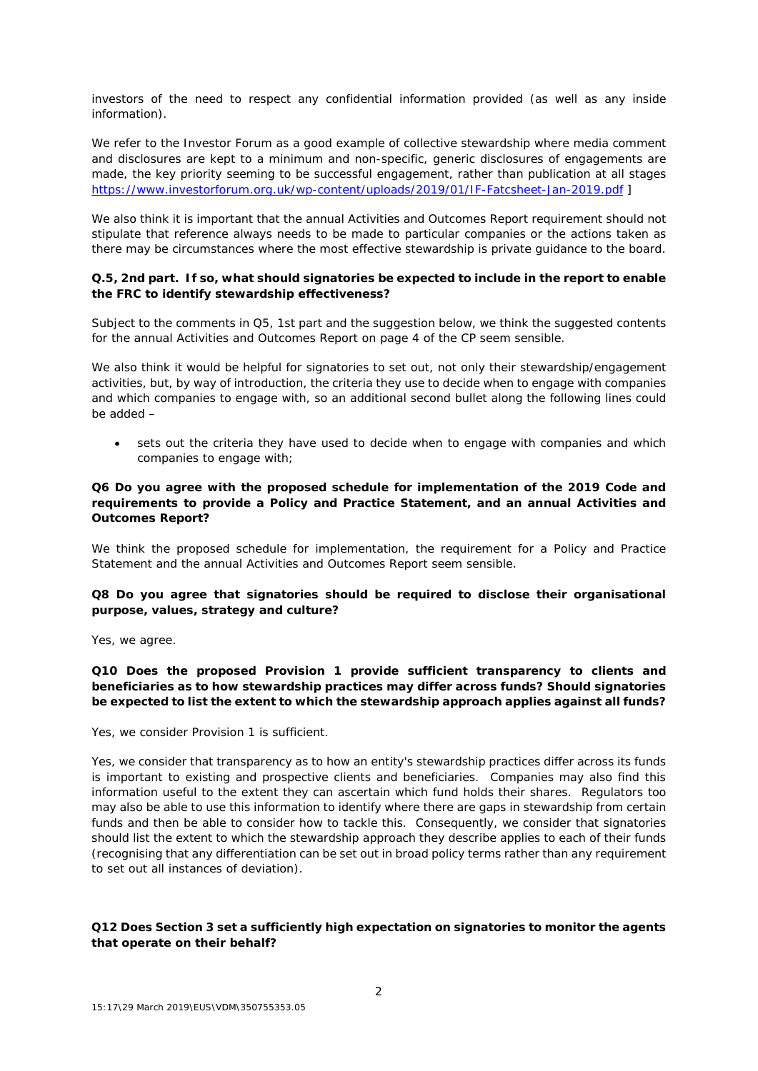investors of the need to respect any confidential information provided (as well as any inside information).

We refer to the Investor Forum as a good example of collective stewardship where media comment and disclosures are kept to a minimum and non-specific, generic disclosures of engagements are made*,* the key priority seeming to be successful engagement, rather than publication at all stages *<https://www.investorforum.org.uk/wp-content/uploads/2019/01/IF-Fatcsheet-Jan-2019.pdf> ]*

We also think it is important that the annual Activities and Outcomes Report requirement should not stipulate that reference always needs to be made to particular companies or the actions taken as there may be circumstances where the most effective stewardship is private guidance to the board.

# **Q.5, 2nd part. If so, what should signatories be expected to include in the report to enable the FRC to identify stewardship effectiveness?**

Subject to the comments in Q5, 1st part and the suggestion below, we think the suggested contents for the annual Activities and Outcomes Report on page 4 of the CP seem sensible.

We also think it would be helpful for signatories to set out, not only their stewardship/engagement activities, but, by way of introduction, the criteria they use to decide when to engage with companies and which companies to engage with, so an additional second bullet along the following lines could be added –

• sets out the criteria they have used to decide when to engage with companies and which companies to engage with;

## **Q6 Do you agree with the proposed schedule for implementation of the 2019 Code and requirements to provide a Policy and Practice Statement, and an annual Activities and Outcomes Report?**

We think the proposed schedule for implementation, the requirement for a Policy and Practice Statement and the annual Activities and Outcomes Report seem sensible.

# **Q8 Do you agree that signatories should be required to disclose their organisational purpose, values, strategy and culture?**

Yes, we agree.

## **Q10 Does the proposed Provision 1 provide sufficient transparency to clients and beneficiaries as to how stewardship practices may differ across funds? Should signatories be expected to list the extent to which the stewardship approach applies against all funds?**

Yes, we consider Provision 1 is sufficient.

Yes, we consider that transparency as to how an entity's stewardship practices differ across its funds is important to existing and prospective clients and beneficiaries. Companies may also find this information useful to the extent they can ascertain which fund holds their shares. Regulators too may also be able to use this information to identify where there are gaps in stewardship from certain funds and then be able to consider how to tackle this. Consequently, we consider that signatories should list the extent to which the stewardship approach they describe applies to each of their funds (recognising that any differentiation can be set out in broad policy terms rather than any requirement to set out all instances of deviation).

# **Q12 Does Section 3 set a sufficiently high expectation on signatories to monitor the agents that operate on their behalf?**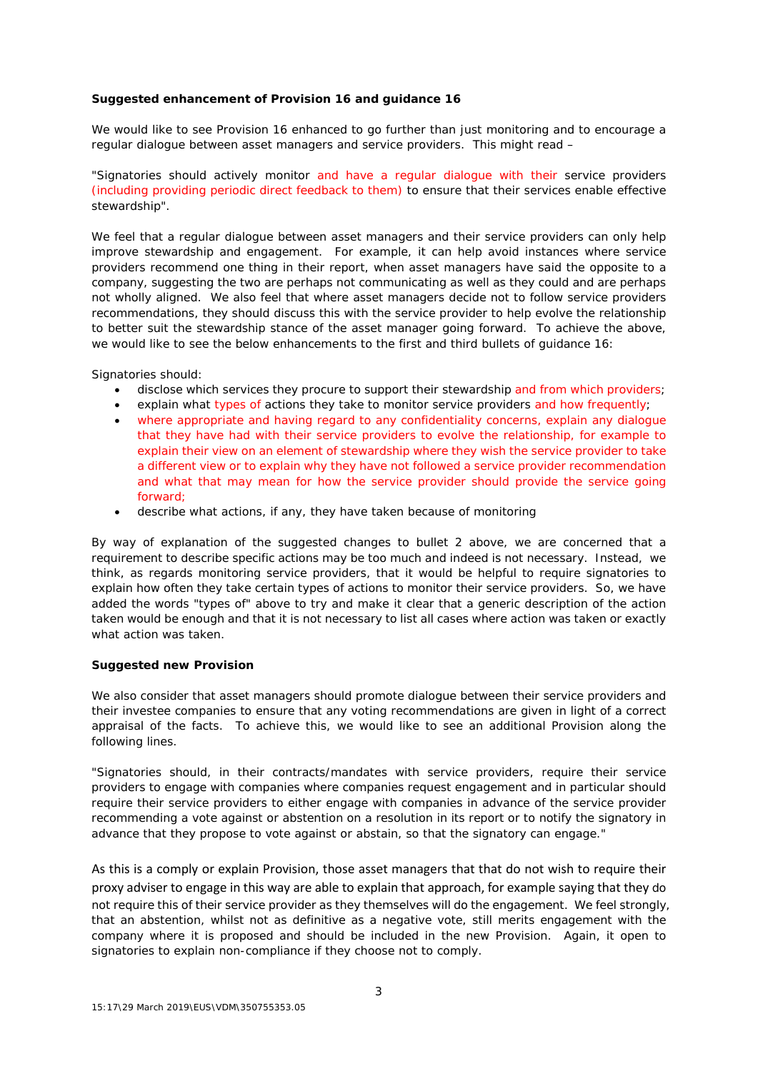## **Suggested enhancement of Provision 16 and guidance 16**

We would like to see Provision 16 enhanced to go further than just monitoring and to encourage a regular dialogue between asset managers and service providers. This might read –

"Signatories should actively monitor and have a regular dialogue with their service providers (including providing periodic direct feedback to them) to ensure that their services enable effective stewardship".

We feel that a regular dialogue between asset managers and their service providers can only help improve stewardship and engagement. For example, it can help avoid instances where service providers recommend one thing in their report, when asset managers have said the opposite to a company, suggesting the two are perhaps not communicating as well as they could and are perhaps not wholly aligned. We also feel that where asset managers decide not to follow service providers recommendations, they should discuss this with the service provider to help evolve the relationship to better suit the stewardship stance of the asset manager going forward. To achieve the above, we would like to see the below enhancements to the first and third bullets of guidance 16:

Signatories should:

- disclose which services they procure to support their stewardship and from which providers;
- explain what types of actions they take to monitor service providers and how frequently;
- where appropriate and having regard to any confidentiality concerns, explain any dialogue that they have had with their service providers to evolve the relationship, for example to explain their view on an element of stewardship where they wish the service provider to take a different view or to explain why they have not followed a service provider recommendation and what that may mean for how the service provider should provide the service going forward;
- describe what actions, if any, they have taken because of monitoring

By way of explanation of the suggested changes to bullet 2 above, we are concerned that a requirement to describe specific actions may be too much and indeed is not necessary. Instead, we think, as regards monitoring service providers, that it would be helpful to require signatories to explain how often they take certain types of actions to monitor their service providers. So, we have added the words "types of" above to try and make it clear that a generic description of the action taken would be enough and that it is not necessary to list all cases where action was taken or exactly what action was taken.

### **Suggested new Provision**

We also consider that asset managers should promote dialogue between their service providers and their investee companies to ensure that any voting recommendations are given in light of a correct appraisal of the facts. To achieve this, we would like to see an additional Provision along the following lines.

"Signatories should, in their contracts/mandates with service providers, require their service providers to engage with companies where companies request engagement and in particular should require their service providers to either engage with companies in advance of the service provider recommending a vote against or abstention on a resolution in its report or to notify the signatory in advance that they propose to vote against or abstain, so that the signatory can engage."

As this is a comply or explain Provision, those asset managers that that do not wish to require their proxy adviser to engage in this way are able to explain that approach, for example saying that they do not require this of their service provider as they themselves will do the engagement. We feel strongly, that an abstention, whilst not as definitive as a negative vote, still merits engagement with the company where it is proposed and should be included in the new Provision. Again, it open to signatories to explain non-compliance if they choose not to comply.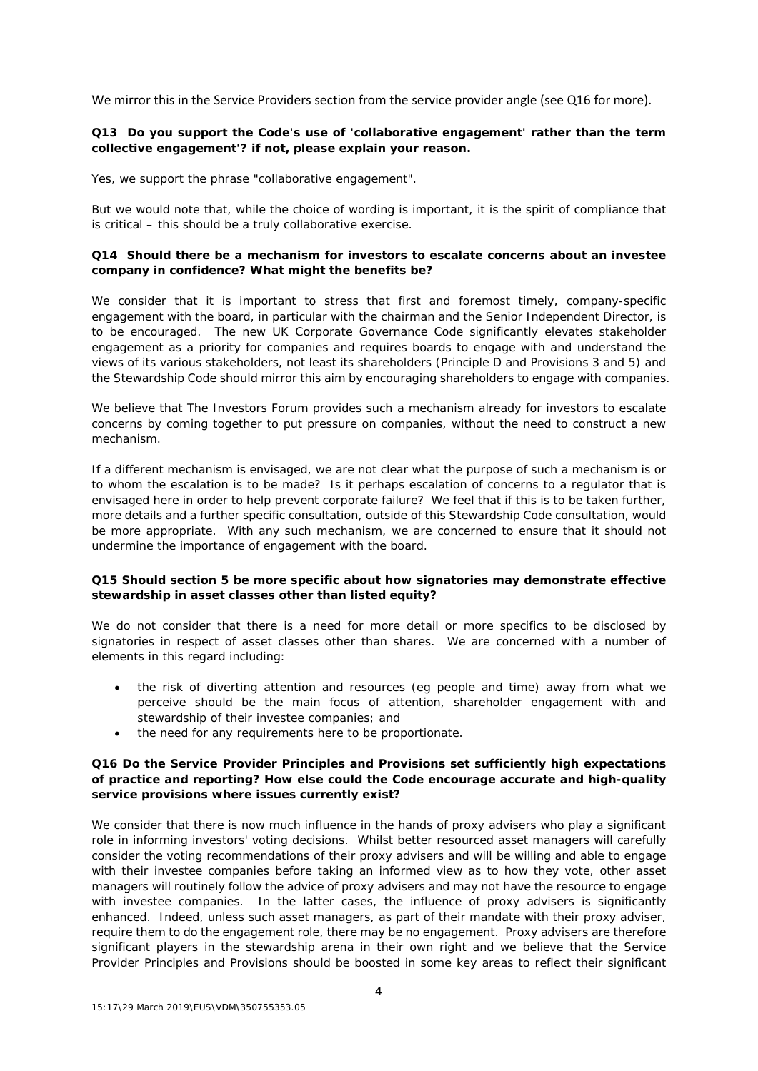We mirror this in the Service Providers section from the service provider angle (see Q16 for more).

# **Q13 Do you support the Code's use of 'collaborative engagement' rather than the term collective engagement'? if not, please explain your reason.**

Yes, we support the phrase "collaborative engagement".

But we would note that, while the choice of wording is important, it is the spirit of compliance that is critical – this should be a truly collaborative exercise.

## **Q14 Should there be a mechanism for investors to escalate concerns about an investee company in confidence? What might the benefits be?**

We consider that it is important to stress that first and foremost timely, company-specific engagement with the board, in particular with the chairman and the Senior Independent Director, is to be encouraged. The new UK Corporate Governance Code significantly elevates stakeholder engagement as a priority for companies and requires boards to engage with and understand the views of its various stakeholders, not least its shareholders (Principle D and Provisions 3 and 5) and the Stewardship Code should mirror this aim by encouraging shareholders to engage with companies.

We believe that The Investors Forum provides such a mechanism already for investors to escalate concerns by coming together to put pressure on companies, without the need to construct a new mechanism.

If a different mechanism is envisaged, we are not clear what the purpose of such a mechanism is or to whom the escalation is to be made? Is it perhaps escalation of concerns to a regulator that is envisaged here in order to help prevent corporate failure? We feel that if this is to be taken further, more details and a further specific consultation, outside of this Stewardship Code consultation, would be more appropriate. With any such mechanism, we are concerned to ensure that it should not undermine the importance of engagement with the board.

# **Q15 Should section 5 be more specific about how signatories may demonstrate effective stewardship in asset classes other than listed equity?**

We do not consider that there is a need for more detail or more specifics to be disclosed by signatories in respect of asset classes other than shares. We are concerned with a number of elements in this regard including:

- the risk of diverting attention and resources (eg people and time) away from what we perceive should be the main focus of attention, shareholder engagement with and stewardship of their investee companies; and
- the need for any requirements here to be proportionate.

# **Q16 Do the Service Provider Principles and Provisions set sufficiently high expectations of practice and reporting? How else could the Code encourage accurate and high-quality service provisions where issues currently exist?**

We consider that there is now much influence in the hands of proxy advisers who play a significant role in informing investors' voting decisions. Whilst better resourced asset managers will carefully consider the voting recommendations of their proxy advisers and will be willing and able to engage with their investee companies before taking an informed view as to how they vote, other asset managers will routinely follow the advice of proxy advisers and may not have the resource to engage with investee companies. In the latter cases, the influence of proxy advisers is significantly enhanced. Indeed, unless such asset managers, as part of their mandate with their proxy adviser, require them to do the engagement role, there may be no engagement. Proxy advisers are therefore significant players in the stewardship arena in their own right and we believe that the Service Provider Principles and Provisions should be boosted in some key areas to reflect their significant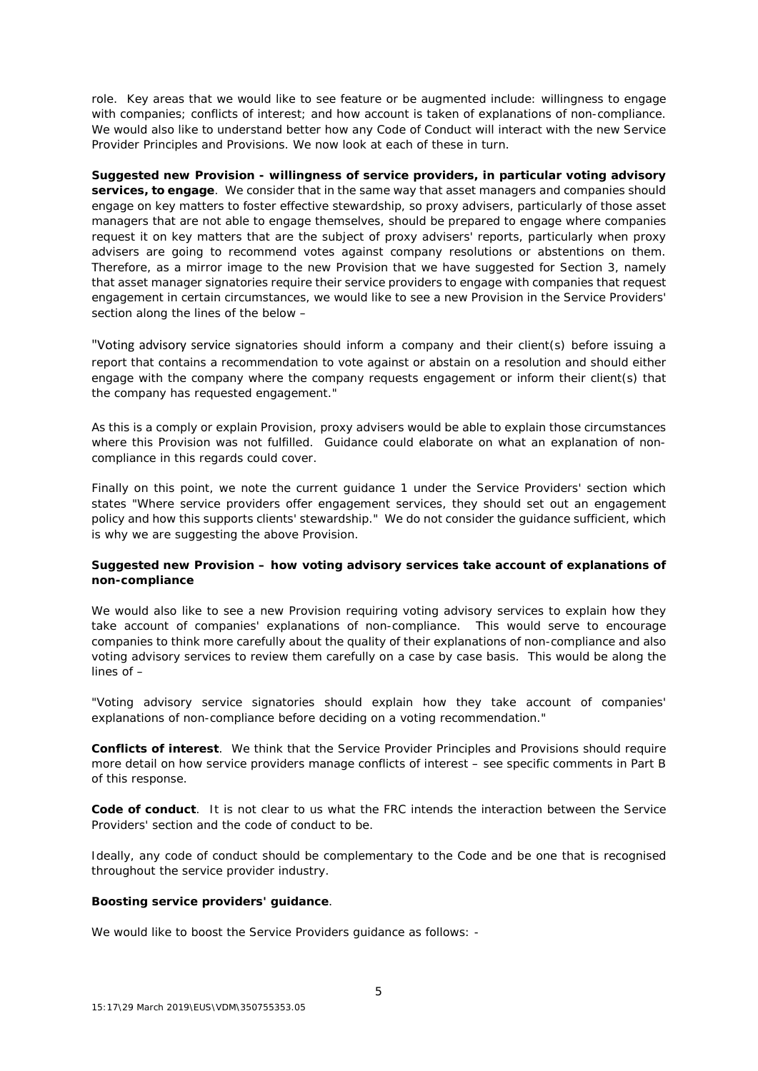role. Key areas that we would like to see feature or be augmented include: willingness to engage with companies; conflicts of interest; and how account is taken of explanations of non-compliance. We would also like to understand better how any Code of Conduct will interact with the new Service Provider Principles and Provisions. We now look at each of these in turn.

**Suggested new Provision - willingness of service providers, in particular voting advisory services, to engage**. We consider that in the same way that asset managers and companies should engage on key matters to foster effective stewardship, so proxy advisers, particularly of those asset managers that are not able to engage themselves, should be prepared to engage where companies request it on key matters that are the subject of proxy advisers' reports, particularly when proxy advisers are going to recommend votes against company resolutions or abstentions on them. Therefore, as a mirror image to the new Provision that we have suggested for Section 3, namely that asset manager signatories require their service providers to engage with companies that request engagement in certain circumstances, we would like to see a new Provision in the Service Providers' section along the lines of the below –

"Voting advisory service signatories should inform a company and their client(s) before issuing a report that contains a recommendation to vote against or abstain on a resolution and should either engage with the company where the company requests engagement or inform their client(s) that the company has requested engagement."

As this is a comply or explain Provision, proxy advisers would be able to explain those circumstances where this Provision was not fulfilled. Guidance could elaborate on what an explanation of noncompliance in this regards could cover.

Finally on this point, we note the current guidance 1 under the Service Providers' section which states "Where service providers offer engagement services, they should set out an engagement policy and how this supports clients' stewardship." We do not consider the guidance sufficient, which is why we are suggesting the above Provision.

# **Suggested new Provision – how voting advisory services take account of explanations of non-compliance**

We would also like to see a new Provision requiring voting advisory services to explain how they take account of companies' explanations of non-compliance. This would serve to encourage companies to think more carefully about the quality of their explanations of non-compliance and also voting advisory services to review them carefully on a case by case basis. This would be along the lines of –

"Voting advisory service signatories should explain how they take account of companies' explanations of non-compliance before deciding on a voting recommendation."

**Conflicts of interest**. We think that the Service Provider Principles and Provisions should require more detail on how service providers manage conflicts of interest – see specific comments in Part B of this response.

**Code of conduct**. It is not clear to us what the FRC intends the interaction between the Service Providers' section and the code of conduct to be.

Ideally, any code of conduct should be complementary to the Code and be one that is recognised throughout the service provider industry.

### **Boosting service providers' guidance**.

We would like to boost the Service Providers guidance as follows: -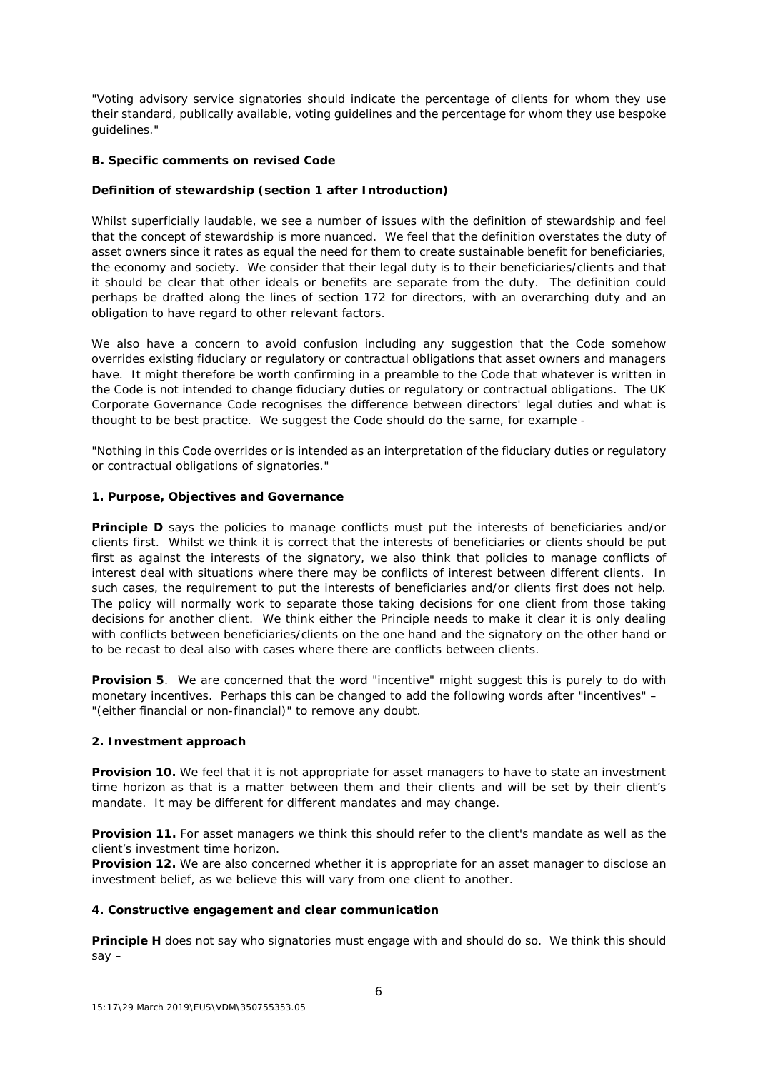"Voting advisory service signatories should indicate the percentage of clients for whom they use their standard, publically available, voting guidelines and the percentage for whom they use bespoke guidelines."

# **B. Specific comments on revised Code**

# **Definition of stewardship (section 1 after Introduction)**

Whilst superficially laudable, we see a number of issues with the definition of stewardship and feel that the concept of stewardship is more nuanced. We feel that the definition overstates the duty of asset owners since it rates as equal the need for them to create sustainable benefit for beneficiaries, the economy and society. We consider that their legal duty is to their beneficiaries/clients and that it should be clear that other ideals or benefits are separate from the duty. The definition could perhaps be drafted along the lines of section 172 for directors, with an overarching duty and an obligation to have regard to other relevant factors.

We also have a concern to avoid confusion including any suggestion that the Code somehow overrides existing fiduciary or regulatory or contractual obligations that asset owners and managers have. It might therefore be worth confirming in a preamble to the Code that whatever is written in the Code is not intended to change fiduciary duties or regulatory or contractual obligations. The UK Corporate Governance Code recognises the difference between directors' legal duties and what is thought to be best practice. We suggest the Code should do the same, for example -

"Nothing in this Code overrides or is intended as an interpretation of the fiduciary duties or regulatory or contractual obligations of signatories."

## **1. Purpose, Objectives and Governance**

**Principle D** says the policies to manage conflicts must put the interests of beneficiaries and/or clients first. Whilst we think it is correct that the interests of beneficiaries or clients should be put first as against the interests of the signatory, we also think that policies to manage conflicts of interest deal with situations where there may be conflicts of interest between different clients. In such cases, the requirement to put the interests of beneficiaries and/or clients first does not help. The policy will normally work to separate those taking decisions for one client from those taking decisions for another client. We think either the Principle needs to make it clear it is only dealing with conflicts between beneficiaries/clients on the one hand and the signatory on the other hand or to be recast to deal also with cases where there are conflicts between clients.

**Provision 5**. We are concerned that the word "incentive" might suggest this is purely to do with monetary incentives. Perhaps this can be changed to add the following words after "incentives" – "(either financial or non-financial)" to remove any doubt.

### **2. Investment approach**

**Provision 10.** We feel that it is not appropriate for asset managers to have to state an investment time horizon as that is a matter between them and their clients and will be set by their client's mandate. It may be different for different mandates and may change.

Provision 11. For asset managers we think this should refer to the client's mandate as well as the client's investment time horizon.

**Provision 12.** We are also concerned whether it is appropriate for an asset manager to disclose an investment belief, as we believe this will vary from one client to another.

### **4. Constructive engagement and clear communication**

**Principle H** does not say who signatories must engage with and should do so. We think this should say –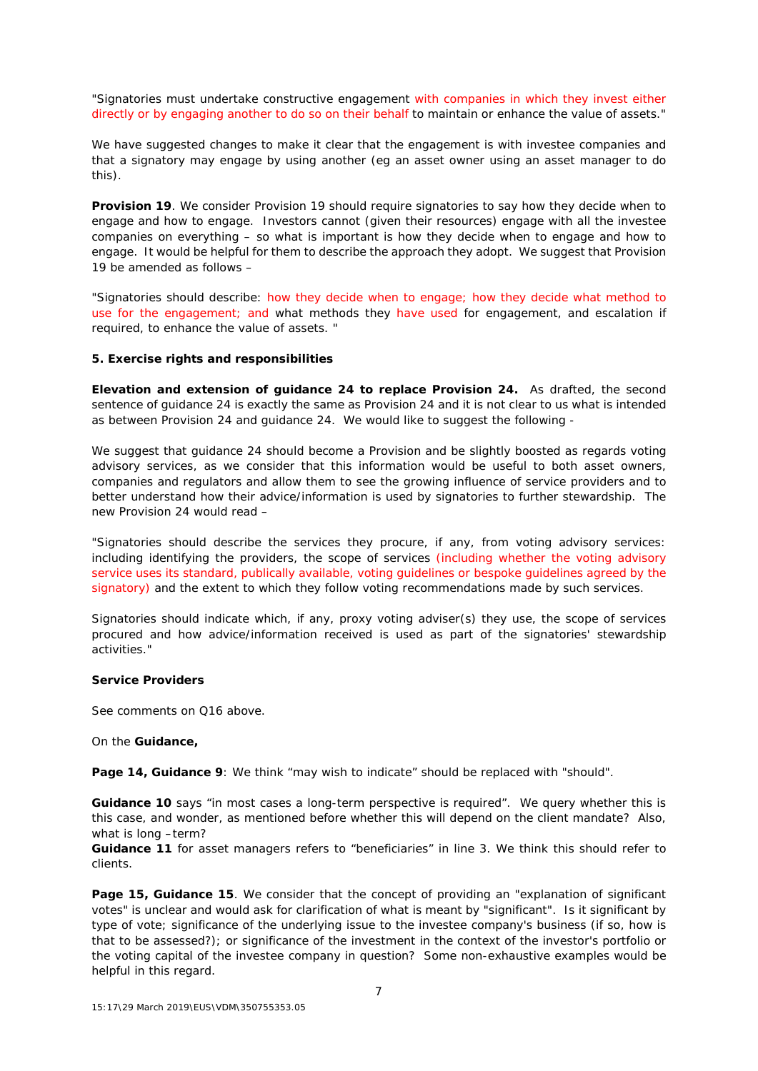"Signatories must undertake constructive engagement with companies in which they invest either directly or by engaging another to do so on their behalf to maintain or enhance the value of assets."

We have suggested changes to make it clear that the engagement is with investee companies and that a signatory may engage by using another (eg an asset owner using an asset manager to do this).

**Provision 19**. We consider Provision 19 should require signatories to say how they decide when to engage and how to engage. Investors cannot (given their resources) engage with all the investee companies on everything – so what is important is how they decide when to engage and how to engage. It would be helpful for them to describe the approach they adopt. We suggest that Provision 19 be amended as follows –

"Signatories should describe: how they decide when to engage; how they decide what method to use for the engagement; and what methods they have used for engagement, and escalation if required, to enhance the value of assets. "

#### **5. Exercise rights and responsibilities**

**Elevation and extension of guidance 24 to replace Provision 24.** As drafted, the second sentence of guidance 24 is exactly the same as Provision 24 and it is not clear to us what is intended as between Provision 24 and guidance 24. We would like to suggest the following -

We suggest that guidance 24 should become a Provision and be slightly boosted as regards voting advisory services, as we consider that this information would be useful to both asset owners, companies and regulators and allow them to see the growing influence of service providers and to better understand how their advice/information is used by signatories to further stewardship. The new Provision 24 would read –

"Signatories should describe the services they procure, if any, from voting advisory services: including identifying the providers, the scope of services (including whether the voting advisory service uses its standard, publically available, voting guidelines or bespoke guidelines agreed by the signatory) and the extent to which they follow voting recommendations made by such services.

Signatories should indicate which, if any, proxy voting adviser(s) they use, the scope of services procured and how advice/information received is used as part of the signatories' stewardship activities."

#### **Service Providers**

See comments on Q16 above.

On the **Guidance,**

**Page 14, Guidance 9**: We think "may wish to indicate" should be replaced with "should".

**Guidance 10** says "in most cases a long-term perspective is required". We query whether this is this case, and wonder, as mentioned before whether this will depend on the client mandate? Also, what is long –term?

**Guidance 11** for asset managers refers to "beneficiaries" in line 3. We think this should refer to clients.

**Page 15, Guidance 15**. We consider that the concept of providing an "explanation of significant votes" is unclear and would ask for clarification of what is meant by "significant". Is it significant by type of vote; significance of the underlying issue to the investee company's business (if so, how is that to be assessed?); or significance of the investment in the context of the investor's portfolio or the voting capital of the investee company in question? Some non-exhaustive examples would be helpful in this regard.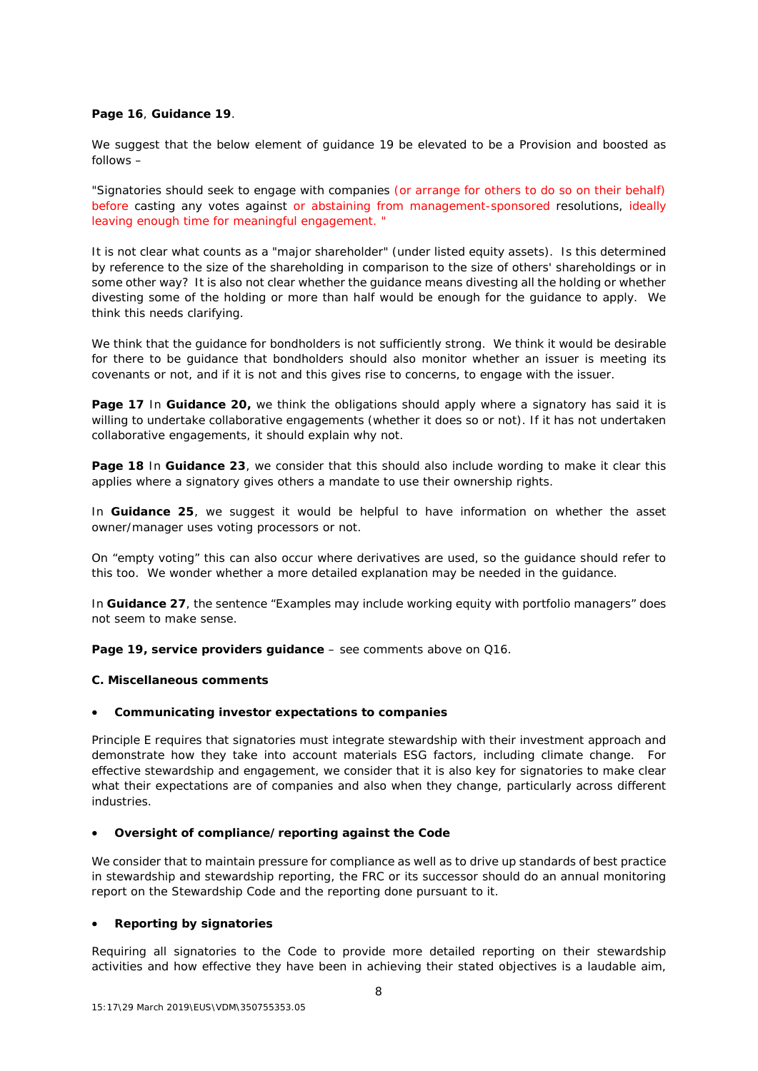## **Page 16**, **Guidance 19**.

We suggest that the below element of guidance 19 be elevated to be a Provision and boosted as follows –

"Signatories should seek to engage with companies (or arrange for others to do so on their behalf) before casting any votes against or abstaining from management-sponsored resolutions, ideally leaving enough time for meaningful engagement. "

It is not clear what counts as a "major shareholder" (under listed equity assets). Is this determined by reference to the size of the shareholding in comparison to the size of others' shareholdings or in some other way? It is also not clear whether the guidance means divesting all the holding or whether divesting some of the holding or more than half would be enough for the guidance to apply. We think this needs clarifying.

We think that the guidance for bondholders is not sufficiently strong. We think it would be desirable for there to be guidance that bondholders should also monitor whether an issuer is meeting its covenants or not, and if it is not and this gives rise to concerns, to engage with the issuer.

**Page 17** In **Guidance 20**, we think the obligations should apply where a signatory has said it is willing to undertake collaborative engagements (whether it does so or not). If it has not undertaken collaborative engagements, it should explain why not.

**Page 18** In **Guidance 23**, we consider that this should also include wording to make it clear this applies where a signatory gives others a mandate to use their ownership rights.

In **Guidance 25**, we suggest it would be helpful to have information on whether the asset owner/manager uses voting processors or not.

On "empty voting" this can also occur where derivatives are used, so the guidance should refer to this too. We wonder whether a more detailed explanation may be needed in the guidance.

In **Guidance 27**, the sentence "Examples may include working equity with portfolio managers" does not seem to make sense.

**Page 19, service providers guidance** – see comments above on Q16.

### **C. Miscellaneous comments**

### • **Communicating investor expectations to companies**

Principle E requires that signatories must integrate stewardship with their investment approach and demonstrate how they take into account materials ESG factors, including climate change. For effective stewardship and engagement, we consider that it is also key for signatories to make clear what their expectations are of companies and also when they change, particularly across different industries.

### • **Oversight of compliance/reporting against the Code**

We consider that to maintain pressure for compliance as well as to drive up standards of best practice in stewardship and stewardship reporting, the FRC or its successor should do an annual monitoring report on the Stewardship Code and the reporting done pursuant to it.

## • **Reporting by signatories**

Requiring all signatories to the Code to provide more detailed reporting on their stewardship activities and how effective they have been in achieving their stated objectives is a laudable aim,